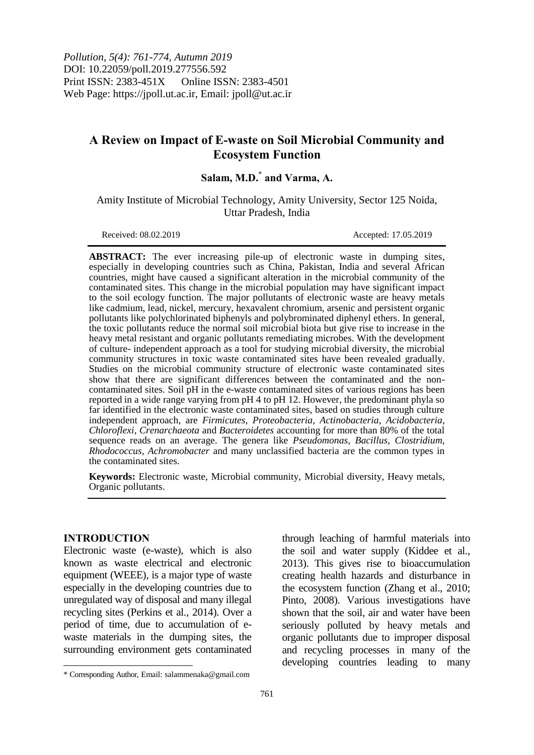*Pollution, 5(4): 761-774, Autumn 2019* DOI: 10.22059/poll.2019.277556.592 Print ISSN: 2383-451X Online ISSN: 2383-4501 Web Page: https://jpoll.ut.ac.ir, Email: jpoll@ut.ac.ir

# **A Review on Impact of E-waste on Soil Microbial Community and Ecosystem Function**

# **Salam, M.D.\* and Varma, A.**

Amity Institute of Microbial Technology, Amity University, Sector 125 Noida, Uttar Pradesh, India

Received: 08.02.2019 Accepted: 17.05.2019

**ABSTRACT:** The ever increasing pile-up of electronic waste in dumping sites, especially in developing countries such as China, Pakistan, India and several African countries, might have caused a significant alteration in the microbial community of the contaminated sites. This change in the microbial population may have significant impact to the soil ecology function. The major pollutants of electronic waste are heavy metals like cadmium, lead, nickel, mercury, hexavalent chromium, arsenic and persistent organic pollutants like polychlorinated biphenyls and polybrominated diphenyl ethers. In general, the toxic pollutants reduce the normal soil microbial biota but give rise to increase in the heavy metal resistant and organic pollutants remediating microbes. With the development of culture- independent approach as a tool for studying microbial diversity, the microbial community structures in toxic waste contaminated sites have been revealed gradually. Studies on the microbial community structure of electronic waste contaminated sites show that there are significant differences between the contaminated and the noncontaminated sites. Soil pH in the e-waste contaminated sites of various regions has been reported in a wide range varying from pH 4 to pH 12. However, the predominant phyla so far identified in the electronic waste contaminated sites, based on studies through culture independent approach, are *Firmicutes*, *Proteobacteria*, *Actinobacteria*, *Acidobacteria*, *Chloroflexi*, *Crenarchaeota* and *Bacteroidetes* accounting for more than 80% of the total sequence reads on an average. The genera like *Pseudomonas*, *Bacillus*, *Clostridium, Rhodococcus*, *Achromobacter* and many unclassified bacteria are the common types in the contaminated sites.

**Keywords:** Electronic waste, Microbial community, Microbial diversity, Heavy metals, Organic pollutants.

#### **INTRODUCTION**

 $\overline{\phantom{a}}$ 

Electronic waste (e-waste), which is also known as waste electrical and electronic equipment (WEEE), is a major type of waste especially in the developing countries due to unregulated way of disposal and many illegal recycling sites (Perkins et al., 2014). Over a period of time, due to accumulation of ewaste materials in the dumping sites, the surrounding environment gets contaminated through leaching of harmful materials into the soil and water supply (Kiddee et al., 2013). This gives rise to bioaccumulation creating health hazards and disturbance in the ecosystem function (Zhang et al., 2010; Pinto, 2008). Various investigations have shown that the soil, air and water have been seriously polluted by heavy metals and organic pollutants due to improper disposal and recycling processes in many of the developing countries leading to many

<sup>\*</sup> Corresponding Author, Email: salammenaka@gmail.com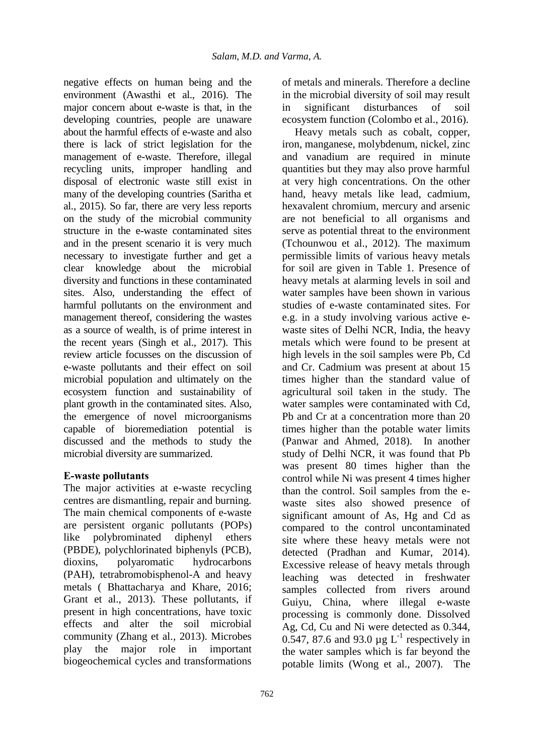negative effects on human being and the environment (Awasthi et al., 2016). The major concern about e-waste is that, in the developing countries, people are unaware about the harmful effects of e-waste and also there is lack of strict legislation for the management of e-waste. Therefore, illegal recycling units, improper handling and disposal of electronic waste still exist in many of the developing countries (Saritha et al., 2015). So far, there are very less reports on the study of the microbial community structure in the e-waste contaminated sites and in the present scenario it is very much necessary to investigate further and get a clear knowledge about the microbial diversity and functions in these contaminated sites. Also, understanding the effect of harmful pollutants on the environment and management thereof, considering the wastes as a source of wealth, is of prime interest in the recent years (Singh et al., 2017). This review article focusses on the discussion of e-waste pollutants and their effect on soil microbial population and ultimately on the ecosystem function and sustainability of plant growth in the contaminated sites. Also, the emergence of novel microorganisms capable of bioremediation potential is discussed and the methods to study the microbial diversity are summarized.

## **E-waste pollutants**

The major activities at e-waste recycling centres are dismantling, repair and burning. The main chemical components of e-waste are persistent organic pollutants (POPs) like polybrominated diphenyl ethers (PBDE), polychlorinated biphenyls (PCB), dioxins, polyaromatic hydrocarbons (PAH), tetrabromobisphenol-A and heavy metals ( Bhattacharya and Khare, 2016; Grant et al., 2013). These pollutants, if present in high concentrations, have toxic effects and alter the soil microbial community (Zhang et al., 2013). Microbes play the major role in important biogeochemical cycles and transformations

of metals and minerals. Therefore a decline in the microbial diversity of soil may result in significant disturbances of soil ecosystem function (Colombo et al., 2016).

Heavy metals such as cobalt, copper, iron, manganese, molybdenum, nickel, zinc and vanadium are required in minute quantities but they may also prove harmful at very high concentrations. On the other hand, heavy metals like lead, cadmium, hexavalent chromium, mercury and arsenic are not beneficial to all organisms and serve as potential threat to the environment (Tchounwou et al., 2012). The maximum permissible limits of various heavy metals for soil are given in Table 1. Presence of heavy metals at alarming levels in soil and water samples have been shown in various studies of e-waste contaminated sites. For e.g. in a study involving various active ewaste sites of Delhi NCR, India, the heavy metals which were found to be present at high levels in the soil samples were Pb, Cd and Cr. Cadmium was present at about 15 times higher than the standard value of agricultural soil taken in the study. The water samples were contaminated with Cd, Pb and Cr at a concentration more than 20 times higher than the potable water limits (Panwar and Ahmed, 2018). In another study of Delhi NCR, it was found that Pb was present 80 times higher than the control while Ni was present 4 times higher than the control. Soil samples from the ewaste sites also showed presence of significant amount of As, Hg and Cd as compared to the control uncontaminated site where these heavy metals were not detected (Pradhan and Kumar, 2014). Excessive release of heavy metals through leaching was detected in freshwater samples collected from rivers around Guiyu, China, where illegal e-waste processing is commonly done. Dissolved Ag, Cd, Cu and Ni were detected as 0.344, 0.547, 87.6 and 93.0  $\mu$ g L<sup>-1</sup> respectively in the water samples which is far beyond the potable limits (Wong et al., 2007). The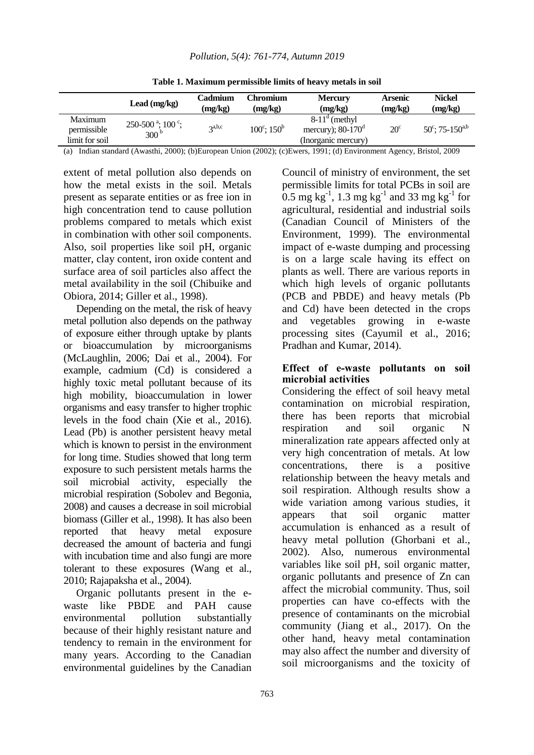|                                          | Lead $(mg/kg)$                                                    | Cadmium<br>(mg/kg) | Chromium<br>(mg/kg)           | <b>Mercury</b><br>(mg/kg)                                                    | <b>Arsenic</b><br>(mg/kg) | <b>Nickel</b><br>(mg/kg)             |
|------------------------------------------|-------------------------------------------------------------------|--------------------|-------------------------------|------------------------------------------------------------------------------|---------------------------|--------------------------------------|
| Maximum<br>permissible<br>limit for soil | $250-500$ <sup>a</sup> ; $100$ <sup>c</sup> ;<br>300 <sup>b</sup> | $2^{a,b,c}$        | $100^{\circ}$ ; $150^{\circ}$ | $8-11^{\circ}$ (methyl)<br>mercury); $80-170^{\circ}$<br>(Inorganic mercury) | $20^{\circ}$              | $50^{\circ}$ ; 75-150 <sup>a,b</sup> |

**Table 1. Maximum permissible limits of heavy metals in soil** 

(a) Indian standard (Awasthi, 2000); (b)European Union (2002); (c)Ewers, 1991; (d) Environment Agency, Bristol, 2009

extent of metal pollution also depends on how the metal exists in the soil. Metals present as separate entities or as free ion in high concentration tend to cause pollution problems compared to metals which exist in combination with other soil components. Also, soil properties like soil pH, organic matter, clay content, iron oxide content and surface area of soil particles also affect the metal availability in the soil (Chibuike and Obiora, 2014; Giller et al., 1998).

Depending on the metal, the risk of heavy metal pollution also depends on the pathway of exposure either through uptake by plants or bioaccumulation by microorganisms (McLaughlin, 2006; Dai et al., 2004). For example, cadmium (Cd) is considered a highly toxic metal pollutant because of its high mobility, bioaccumulation in lower organisms and easy transfer to higher trophic levels in the food chain (Xie et al., 2016). Lead (Pb) is another persistent heavy metal which is known to persist in the environment for long time. Studies showed that long term exposure to such persistent metals harms the soil microbial activity, especially the microbial respiration (Sobolev and Begonia, 2008) and causes a decrease in soil microbial biomass (Giller et al., 1998). It has also been reported that heavy metal exposure decreased the amount of bacteria and fungi with incubation time and also fungi are more tolerant to these exposures (Wang et al., 2010; Rajapaksha et al., 2004).

Organic pollutants present in the ewaste like PBDE and PAH cause environmental pollution substantially because of their highly resistant nature and tendency to remain in the environment for many years. According to the Canadian environmental guidelines by the Canadian

Council of ministry of environment, the set permissible limits for total PCBs in soil are 0.5 mg kg<sup>-1</sup>, 1.3 mg kg<sup>-1</sup> and 33 mg kg<sup>-1</sup> for agricultural, residential and industrial soils (Canadian Council of Ministers of the Environment, 1999). The environmental impact of e-waste dumping and processing is on a large scale having its effect on plants as well. There are various reports in which high levels of organic pollutants (PCB and PBDE) and heavy metals (Pb and Cd) have been detected in the crops and vegetables growing in e-waste processing sites (Cayumil et al., 2016; Pradhan and Kumar, 2014).

### **Effect of e-waste pollutants on soil microbial activities**

Considering the effect of soil heavy metal contamination on microbial respiration, there has been reports that microbial respiration and soil organic N mineralization rate appears affected only at very high concentration of metals. At low concentrations, there is a positive relationship between the heavy metals and soil respiration. Although results show a wide variation among various studies, it appears that soil organic matter accumulation is enhanced as a result of heavy metal pollution (Ghorbani et al., 2002). Also, numerous environmental variables like soil pH, soil organic matter, organic pollutants and presence of Zn can affect the microbial community. Thus, soil properties can have co-effects with the presence of contaminants on the microbial community (Jiang et al., 2017). On the other hand, heavy metal contamination may also affect the number and diversity of soil microorganisms and the toxicity of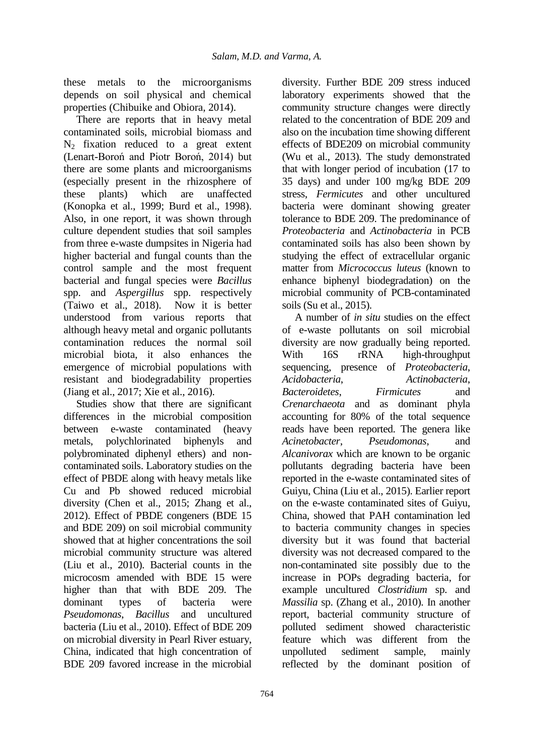these metals to the microorganisms depends on soil physical and chemical properties (Chibuike and Obiora, 2014).

There are reports that in heavy metal contaminated soils, microbial biomass and  $N_2$  fixation reduced to a great extent (Lenart-Boroń and Piotr Boroń, 2014) but there are some plants and microorganisms (especially present in the rhizosphere of these plants) which are unaffected (Konopka et al., 1999; Burd et al., 1998). Also, in one report, it was shown through culture dependent studies that soil samples from three e-waste dumpsites in Nigeria had higher bacterial and fungal counts than the control sample and the most frequent bacterial and fungal species were *Bacillus* spp. and *Aspergillus* spp. respectively (Taiwo et al., 2018). Now it is better understood from various reports that although heavy metal and organic pollutants contamination reduces the normal soil microbial biota, it also enhances the emergence of microbial populations with resistant and biodegradability properties (Jiang et al., 2017; Xie et al., 2016).

Studies show that there are significant differences in the microbial composition between e-waste contaminated (heavy metals, polychlorinated biphenyls and polybrominated diphenyl ethers) and noncontaminated soils. Laboratory studies on the effect of PBDE along with heavy metals like Cu and Pb showed reduced microbial diversity (Chen et al., 2015; Zhang et al., 2012). Effect of PBDE congeners (BDE 15 and BDE 209) on soil microbial community showed that at higher concentrations the soil microbial community structure was altered (Liu et al., 2010). Bacterial counts in the microcosm amended with BDE 15 were higher than that with BDE 209. The dominant types of bacteria were *Pseudomonas*, *Bacillus* and uncultured bacteria (Liu et al., 2010). Effect of BDE 209 on microbial diversity in Pearl River estuary, China, indicated that high concentration of BDE 209 favored increase in the microbial

diversity. Further BDE 209 stress induced laboratory experiments showed that the community structure changes were directly related to the concentration of BDE 209 and also on the incubation time showing different effects of BDE209 on microbial community (Wu et al., 2013). The study demonstrated that with longer period of incubation (17 to 35 days) and under 100 mg/kg BDE 209 stress, *Fermicutes* and other uncultured bacteria were dominant showing greater tolerance to BDE 209. The predominance of *Proteobacteria* and *Actinobacteria* in PCB contaminated soils has also been shown by studying the effect of extracellular organic matter from *Micrococcus luteus* (known to enhance biphenyl biodegradation) on the microbial community of PCB-contaminated soils (Su et al., 2015).

A number of *in situ* studies on the effect of e-waste pollutants on soil microbial diversity are now gradually being reported. With 16S rRNA high-throughput sequencing, presence of *Proteobacteria*, *Acidobacteria*, *Actinobacteria*, *Bacteroidetes*, *Firmicutes* and *Crenarchaeota* and as dominant phyla accounting for 80% of the total sequence reads have been reported. The genera like *Acinetobacter*, *Pseudomonas*, and *Alcanivorax* which are known to be organic pollutants degrading bacteria have been reported in the e-waste contaminated sites of Guiyu, China (Liu et al., 2015). Earlier report on the e-waste contaminated sites of Guiyu, China, showed that PAH contamination led to bacteria community changes in species diversity but it was found that bacterial diversity was not decreased compared to the non-contaminated site possibly due to the increase in POPs degrading bacteria, for example uncultured *Clostridium* sp. and *Massilia* sp. (Zhang et al., 2010). In another report, bacterial community structure of polluted sediment showed characteristic feature which was different from the unpolluted sediment sample, mainly reflected by the dominant position of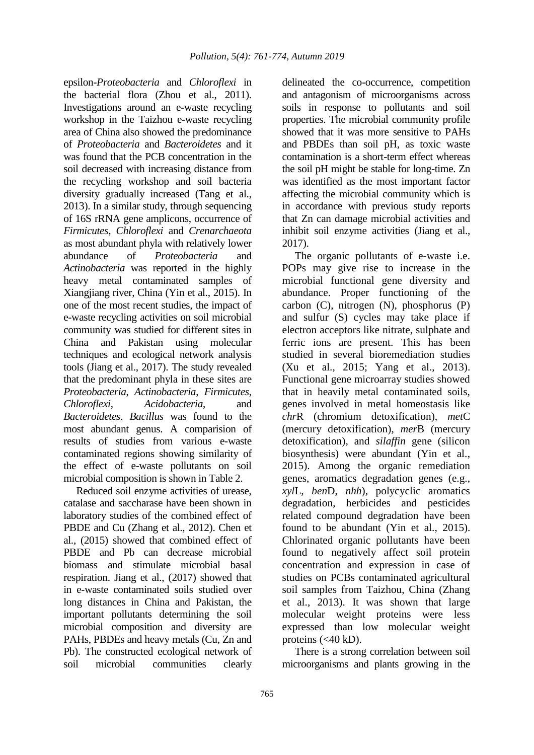epsilon-*Proteobacteria* and *Chloroflexi* in the bacterial flora (Zhou et al., 2011). Investigations around an e-waste recycling workshop in the Taizhou e-waste recycling area of China also showed the predominance of *Proteobacteria* and *Bacteroidetes* and it was found that the PCB concentration in the soil decreased with increasing distance from the recycling workshop and soil bacteria diversity gradually increased (Tang et al., 2013). In a similar study, through sequencing of 16S rRNA gene amplicons, occurrence of *Firmicutes*, *Chloroflexi* and *Crenarchaeota* as most abundant phyla with relatively lower abundance of *Proteobacteria* and *Actinobacteria* was reported in the highly heavy metal contaminated samples of Xiangjiang river, China (Yin et al., 2015). In one of the most recent studies, the impact of e-waste recycling activities on soil microbial community was studied for different sites in China and Pakistan using molecular techniques and ecological network analysis tools (Jiang et al., 2017). The study revealed that the predominant phyla in these sites are *Proteobacteria*, *Actinobacteria*, *Firmicutes*, *Chloroflexi*, *Acidobacteria*, and *Bacteroidetes*. *Bacillus* was found to the most abundant genus. A comparision of results of studies from various e-waste contaminated regions showing similarity of the effect of e-waste pollutants on soil microbial composition is shown in Table 2.

Reduced soil enzyme activities of urease, catalase and saccharase have been shown in laboratory studies of the combined effect of PBDE and Cu (Zhang et al., 2012). Chen et al., (2015) showed that combined effect of PBDE and Pb can decrease microbial biomass and stimulate microbial basal respiration. Jiang et al., (2017) showed that in e-waste contaminated soils studied over long distances in China and Pakistan, the important pollutants determining the soil microbial composition and diversity are PAHs, PBDEs and heavy metals (Cu, Zn and Pb). The constructed ecological network of soil microbial communities clearly

delineated the co-occurrence, competition and antagonism of microorganisms across soils in response to pollutants and soil properties. The microbial community profile showed that it was more sensitive to PAHs and PBDEs than soil pH, as toxic waste contamination is a short-term effect whereas the soil pH might be stable for long-time. Zn was identified as the most important factor affecting the microbial community which is in accordance with previous study reports that Zn can damage microbial activities and inhibit soil enzyme activities (Jiang et al., 2017).

The organic pollutants of e-waste i.e. POPs may give rise to increase in the microbial functional gene diversity and abundance. Proper functioning of the carbon (C), nitrogen (N), phosphorus (P) and sulfur (S) cycles may take place if electron acceptors like nitrate, sulphate and ferric ions are present. This has been studied in several bioremediation studies (Xu et al., 2015; Yang et al., 2013). Functional gene microarray studies showed that in heavily metal contaminated soils, genes involved in metal homeostasis like *chr*R (chromium detoxification), *met*C (mercury detoxification), *mer*B (mercury detoxification), and *silaffin* gene (silicon biosynthesis) were abundant (Yin et al., 2015). Among the organic remediation genes, aromatics degradation genes (e.g., *xyl*L, *ben*D, *nhh*), polycyclic aromatics degradation, herbicides and pesticides related compound degradation have been found to be abundant (Yin et al., 2015). Chlorinated organic pollutants have been found to negatively affect soil protein concentration and expression in case of studies on PCBs contaminated agricultural soil samples from Taizhou, China (Zhang et al., 2013). It was shown that large molecular weight proteins were less expressed than low molecular weight proteins  $( $40 \text{ kD}$ ).$ 

There is a strong correlation between soil microorganisms and plants growing in the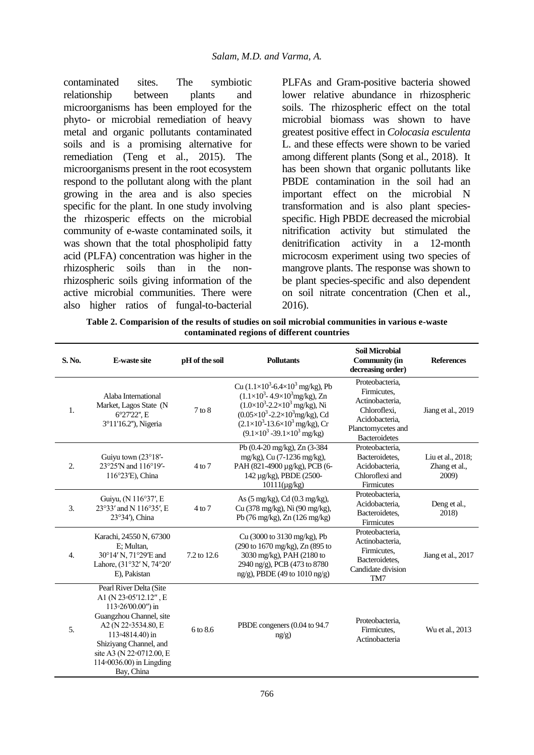contaminated sites. The symbiotic relationship between plants and microorganisms has been employed for the phyto- or microbial remediation of heavy metal and organic pollutants contaminated soils and is a promising alternative for remediation (Teng et al., 2015). The microorganisms present in the root ecosystem respond to the pollutant along with the plant growing in the area and is also species specific for the plant. In one study involving the rhizosperic effects on the microbial community of e-waste contaminated soils, it was shown that the total phospholipid fatty acid (PLFA) concentration was higher in the rhizospheric soils than in the nonrhizospheric soils giving information of the active microbial communities. There were also higher ratios of fungal-to-bacterial

PLFAs and Gram-positive bacteria showed lower relative abundance in rhizospheric soils. The rhizospheric effect on the total microbial biomass was shown to have greatest positive effect in *Colocasia esculenta* L. and these effects were shown to be varied among different plants (Song et al., 2018). It has been shown that organic pollutants like PBDE contamination in the soil had an important effect on the microbial N transformation and is also plant speciesspecific. High PBDE decreased the microbial nitrification activity but stimulated the denitrification activity in a 12-month microcosm experiment using two species of mangrove plants. The response was shown to be plant species-specific and also dependent on soil nitrate concentration (Chen et al., 2016).

**Table 2. Comparision of the results of studies on soil microbial communities in various e-waste contaminated regions of different countries** 

| S. No.           | <b>E-waste site</b>                                                                                                                                                                                                                                     | pH of the soil | <b>Pollutants</b>                                                                                                                                                                                                                                                                                                                 | <b>Soil Microbial</b><br><b>Community (in</b><br>decreasing order)                                                                | <b>References</b>                           |
|------------------|---------------------------------------------------------------------------------------------------------------------------------------------------------------------------------------------------------------------------------------------------------|----------------|-----------------------------------------------------------------------------------------------------------------------------------------------------------------------------------------------------------------------------------------------------------------------------------------------------------------------------------|-----------------------------------------------------------------------------------------------------------------------------------|---------------------------------------------|
| 1.               | Alaba International<br>Market, Lagos State (N<br>6°27'22", E<br>3°11'16.2"), Nigeria                                                                                                                                                                    | $7$ to $8$     | Cu $(1.1\times10^3 - 6.4\times10^3)$ mg/kg), Pb<br>$(1.1\times10^{3} - 4.9\times10^{3}$ mg/kg), Zn<br>$(1.0\times10^3\t{-}2.2\times10^3 \text{ mg/kg})$ , Ni<br>$(0.05\times10^{3} - 2.2\times10^{3}$ mg/kg), Cd<br>$(2.1\times10^{3} - 13.6\times10^{3} \text{ mg/kg})$ , Cr<br>$(9.1\times10^3 - 39.1\times10^3 \text{ mg/kg})$ | Proteobacteria.<br>Firmicutes.<br>Actinobacteria.<br>Chloroflexi.<br>Acidobacteria,<br>Planctomycetes and<br><b>Bacteroidetes</b> | Jiang et al., 2019                          |
| 2.               | Guiyu town $(23^{\circ}18^{\prime}$ -<br>23°25'N and 116°19'-<br>116°23'E), China                                                                                                                                                                       | 4 to 7         | Pb (0.4-20 mg/kg), Zn (3-384<br>mg/kg), Cu (7-1236 mg/kg),<br>PAH (821-4900 µg/kg), PCB (6-<br>142 μg/kg), PBDE (2500-<br>$10111(\mu g/kg)$                                                                                                                                                                                       | Proteobacteria.<br>Bacteroidetes,<br>Acidobacteria,<br>Chloroflexi and<br>Firmicutes                                              | Liu et al., 2018;<br>Zhang et al.,<br>2009) |
| 3.               | Guiyu, (N 116°37', E<br>23°33' and N 116°35', E<br>23°34′), China                                                                                                                                                                                       | $4$ to $7$     | As (5 mg/kg), Cd (0.3 mg/kg),<br>Cu (378 mg/kg), Ni (90 mg/kg),<br>Pb $(76 \text{ mg/kg})$ , Zn $(126 \text{ mg/kg})$                                                                                                                                                                                                             | Proteobacteria,<br>Acidobacteria.<br>Bacteroidetes,<br>Firmicutes                                                                 | Deng et al.,<br>2018)                       |
| $\overline{4}$ . | Karachi, 24550 N, 67300<br>E; Multan,<br>30°14' N, 71°29'E and<br>Lahore, (31°32' N, 74°20'<br>E). Pakistan                                                                                                                                             | 7.2 to 12.6    | Cu (3000 to 3130 mg/kg), Pb<br>(290 to 1670 mg/kg), Zn (895 to<br>3030 mg/kg), PAH (2180 to<br>2940 ng/g), PCB (473 to 8780<br>$ng/g$ ), PBDE (49 to 1010 ng/g)                                                                                                                                                                   | Proteobacteria,<br>Actinobacteria,<br>Firmicutes,<br>Bacteroidetes.<br>Candidate division<br>TM7                                  | Jiang et al., 2017                          |
| 5.               | Pearl River Delta (Site<br>A1 (N 23-05'12.12", E<br>113°26'00.00") in<br>Guangzhou Channel, site<br>A2 (N 22-3534.80, E<br>113 <sup>o</sup> 4814.40) in<br>Shiziyang Channel, and<br>site A3 (N 22°0712.00, E<br>114-0036.00) in Lingding<br>Bay, China | 6 to 8.6       | PBDE congeners (0.04 to 94.7)<br>ng/g)                                                                                                                                                                                                                                                                                            | Proteobacteria,<br>Firmicutes.<br>Actinobacteria                                                                                  | Wu et al., 2013                             |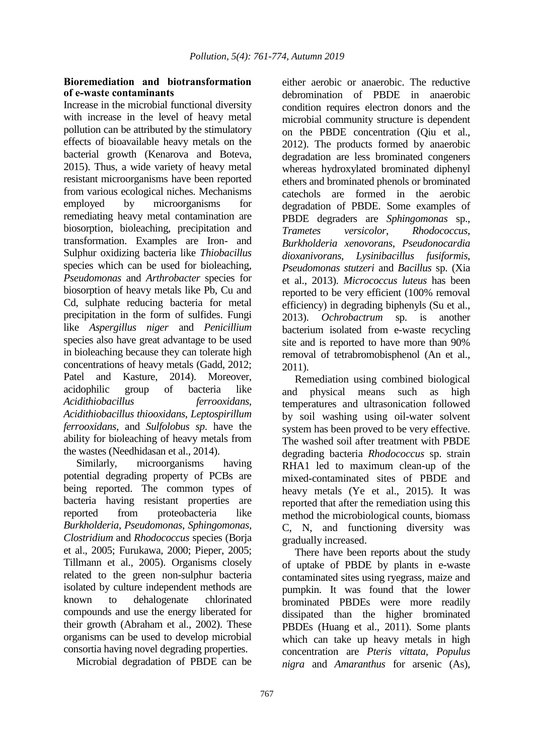## **Bioremediation and biotransformation of e-waste contaminants**

Increase in the microbial functional diversity with increase in the level of heavy metal pollution can be attributed by the stimulatory effects of bioavailable heavy metals on the bacterial growth (Kenarova and Boteva, 2015). Thus, a wide variety of heavy metal resistant microorganisms have been reported from various ecological niches. Mechanisms employed by microorganisms for remediating heavy metal contamination are biosorption, bioleaching, precipitation and transformation. Examples are Iron- and Sulphur oxidizing bacteria like *Thiobacillus* species which can be used for bioleaching, *Pseudomonas* and *Arthrobacter* species for biosorption of heavy metals like Pb, Cu and Cd, sulphate reducing bacteria for metal precipitation in the form of sulfides. Fungi like *Aspergillus niger* and *Penicillium* species also have great advantage to be used in bioleaching because they can tolerate high concentrations of heavy metals (Gadd, 2012; Patel and Kasture, 2014). Moreover, acidophilic group of bacteria like *Acidithiobacillus ferrooxidans*, *Acidithiobacillus thiooxidans*, *Leptospirillum ferrooxidans*, and *Sulfolobus sp*. have the ability for bioleaching of heavy metals from the wastes (Needhidasan et al., 2014).

Similarly, microorganisms having potential degrading property of PCBs are being reported. The common types of bacteria having resistant properties are reported from proteobacteria like *Burkholderia*, *Pseudomonas*, *Sphingomonas*, *Clostridium* and *Rhodococcus* species (Borja et al., 2005; Furukawa, 2000; Pieper, 2005; Tillmann et al., 2005). Organisms closely related to the green non-sulphur bacteria isolated by culture independent methods are known to dehalogenate chlorinated compounds and use the energy liberated for their growth (Abraham et al., 2002). These organisms can be used to develop microbial consortia having novel degrading properties.

Microbial degradation of PBDE can be

either aerobic or anaerobic. The reductive debromination of PBDE in anaerobic condition requires electron donors and the microbial community structure is dependent on the PBDE concentration (Qiu et al., 2012). The products formed by anaerobic degradation are less brominated congeners whereas hydroxylated brominated diphenyl ethers and brominated phenols or brominated catechols are formed in the aerobic degradation of PBDE. Some examples of PBDE degraders are *Sphingomonas* sp., *Trametes versicolor*, *Rhodococcus*, *Burkholderia xenovorans*, *Pseudonocardia dioxanivorans*, *Lysinibacillus fusiformis*, *Pseudomonas stutzeri* and *Bacillus* sp. (Xia et al., 2013). *Micrococcus luteus* has been reported to be very efficient (100% removal efficiency) in degrading biphenyls (Su et al., 2013). *Ochrobactrum* sp. is another bacterium isolated from e-waste recycling site and is reported to have more than 90% removal of tetrabromobisphenol (An et al., 2011).

Remediation using combined biological and physical means such as high temperatures and ultrasonication followed by soil washing using oil-water solvent system has been proved to be very effective. The washed soil after treatment with PBDE degrading bacteria *Rhodococcus* sp. strain RHA1 led to maximum clean-up of the mixed-contaminated sites of PBDE and heavy metals (Ye et al., 2015). It was reported that after the remediation using this method the microbiological counts, biomass C, N, and functioning diversity was gradually increased.

There have been reports about the study of uptake of PBDE by plants in e-waste contaminated sites using ryegrass, maize and pumpkin. It was found that the lower brominated PBDEs were more readily dissipated than the higher brominated PBDEs (Huang et al., 2011). Some plants which can take up heavy metals in high concentration are *Pteris vittata*, *Populus nigra* and *Amaranthus* for arsenic (As),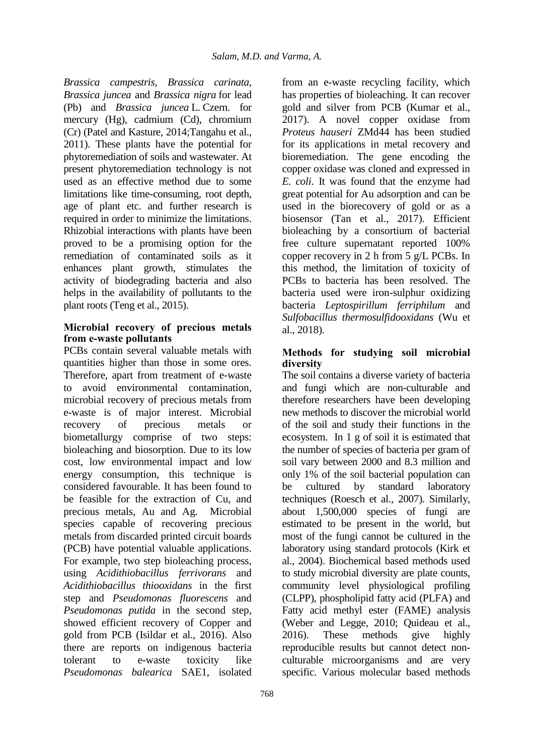*Brassica campestris*, *Brassica carinata*, *Brassica juncea* and *Brassica nigra* for lead (Pb) and *Brassica juncea* L. Czern. for mercury (Hg), cadmium (Cd), chromium (Cr) (Patel and Kasture, 2014;Tangahu et al., 2011). These plants have the potential for phytoremediation of soils and wastewater. At present phytoremediation technology is not used as an effective method due to some limitations like time-consuming, root depth, age of plant etc. and further research is required in order to minimize the limitations. Rhizobial interactions with plants have been proved to be a promising option for the remediation of contaminated soils as it enhances plant growth, stimulates the activity of biodegrading bacteria and also helps in the availability of pollutants to the plant roots (Teng et al., 2015).

## **Microbial recovery of precious metals from e-waste pollutants**

PCBs contain several valuable metals with quantities higher than those in some ores. Therefore, apart from treatment of e-waste to avoid environmental contamination, microbial recovery of precious metals from e-waste is of major interest. Microbial recovery of precious metals or biometallurgy comprise of two steps: bioleaching and biosorption. Due to its low cost, low environmental impact and low energy consumption, this technique is considered favourable. It has been found to be feasible for the extraction of Cu, and precious metals, Au and Ag. Microbial species capable of recovering precious metals from discarded printed circuit boards (PCB) have potential valuable applications. For example, two step bioleaching process, using *Acidithiobacillus ferrivorans* and *Acidithiobacillus thiooxidans* in the first step and *Pseudomonas fluorescens* and *Pseudomonas putida* in the second step, showed efficient recovery of Copper and gold from PCB (Isildar et al., 2016). Also there are reports on indigenous bacteria tolerant to e-waste toxicity like *Pseudomonas balearica* SAE1, isolated

from an e-waste recycling facility, which has properties of bioleaching. It can recover gold and silver from PCB (Kumar et al., 2017). A novel copper oxidase from *Proteus hauseri* ZMd44 has been studied for its applications in metal recovery and bioremediation. The gene encoding the copper oxidase was cloned and expressed in *E. coli*. It was found that the enzyme had great potential for Au adsorption and can be used in the biorecovery of gold or as a biosensor (Tan et al., 2017). Efficient bioleaching by a consortium of bacterial free culture supernatant reported 100% copper recovery in 2 h from 5 g/L PCBs. In this method, the limitation of toxicity of PCBs to bacteria has been resolved. The bacteria used were iron-sulphur oxidizing bacteria *Leptospirillum ferriphilum* and *Sulfobacillus thermosulfidooxidans* (Wu et al., 2018).

## **Methods for studying soil microbial diversity**

The soil contains a diverse variety of bacteria and fungi which are non-culturable and therefore researchers have been developing new methods to discover the microbial world of the soil and study their functions in the ecosystem. In 1 g of soil it is estimated that the number of species of bacteria per gram of soil vary between 2000 and 8.3 million and only 1% of the soil bacterial population can be cultured by standard laboratory techniques (Roesch et al., 2007). Similarly, about 1,500,000 species of fungi are estimated to be present in the world, but most of the fungi cannot be cultured in the laboratory using standard protocols (Kirk et al., 2004). Biochemical based methods used to study microbial diversity are plate counts, community level physiological profiling (CLPP), phospholipid fatty acid (PLFA) and Fatty acid methyl ester (FAME) analysis (Weber and Legge, 2010; Quideau et al., 2016). These methods give highly reproducible results but cannot detect nonculturable microorganisms and are very specific. Various molecular based methods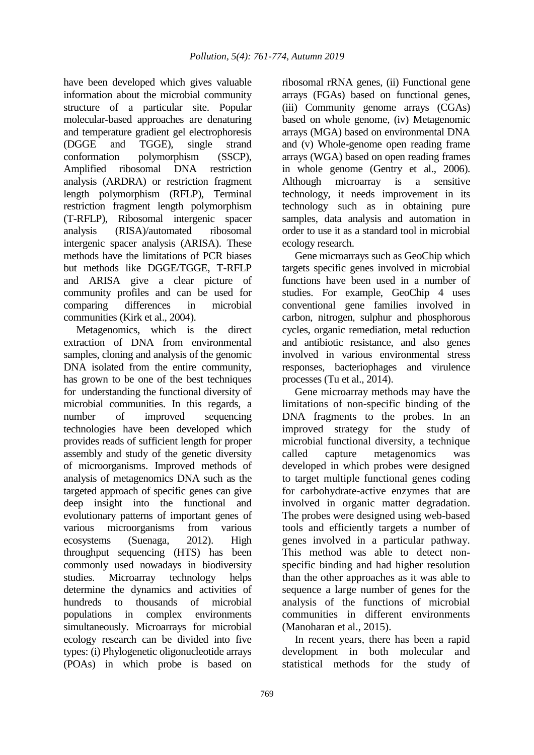have been developed which gives valuable information about the microbial community structure of a particular site. Popular molecular-based approaches are denaturing and temperature gradient gel electrophoresis (DGGE and TGGE), single strand conformation polymorphism (SSCP), Amplified ribosomal DNA restriction analysis (ARDRA) or restriction fragment length polymorphism (RFLP), Terminal restriction fragment length polymorphism (T-RFLP), Ribosomal intergenic spacer analysis (RISA)/automated ribosomal intergenic spacer analysis (ARISA). These methods have the limitations of PCR biases but methods like DGGE/TGGE, T-RFLP and ARISA give a clear picture of community profiles and can be used for comparing differences in microbial communities (Kirk et al., 2004).

Metagenomics, which is the direct extraction of DNA from environmental samples, cloning and analysis of the genomic DNA isolated from the entire community, has grown to be one of the best techniques for understanding the functional diversity of microbial communities. In this regards, a number of improved sequencing technologies have been developed which provides reads of sufficient length for proper assembly and study of the genetic diversity of microorganisms. Improved methods of analysis of metagenomics DNA such as the targeted approach of specific genes can give deep insight into the functional and evolutionary patterns of important genes of various microorganisms from various ecosystems (Suenaga, 2012). High throughput sequencing (HTS) has been commonly used nowadays in biodiversity studies. Microarray technology helps determine the dynamics and activities of hundreds to thousands of microbial populations in complex environments simultaneously. Microarrays for microbial ecology research can be divided into five types: (i) Phylogenetic oligonucleotide arrays (POAs) in which probe is based on

ribosomal rRNA genes, (ii) Functional gene arrays (FGAs) based on functional genes, (iii) Community genome arrays (CGAs) based on whole genome, (iv) Metagenomic arrays (MGA) based on environmental DNA and (v) Whole-genome open reading frame arrays (WGA) based on open reading frames in whole genome (Gentry et al., 2006). Although microarray is a sensitive technology, it needs improvement in its technology such as in obtaining pure samples, data analysis and automation in order to use it as a standard tool in microbial ecology research.

Gene microarrays such as GeoChip which targets specific genes involved in microbial functions have been used in a number of studies. For example, GeoChip 4 uses conventional gene families involved in carbon, nitrogen, sulphur and phosphorous cycles, organic remediation, metal reduction and antibiotic resistance, and also genes involved in various environmental stress responses, bacteriophages and virulence processes (Tu et al., 2014).

Gene microarray methods may have the limitations of non-specific binding of the DNA fragments to the probes. In an improved strategy for the study of microbial functional diversity, a technique called capture metagenomics was developed in which probes were designed to target multiple functional genes coding for carbohydrate-active enzymes that are involved in organic matter degradation. The probes were designed using web-based tools and efficiently targets a number of genes involved in a particular pathway. This method was able to detect nonspecific binding and had higher resolution than the other approaches as it was able to sequence a large number of genes for the analysis of the functions of microbial communities in different environments (Manoharan et al., 2015).

In recent years, there has been a rapid development in both molecular and statistical methods for the study of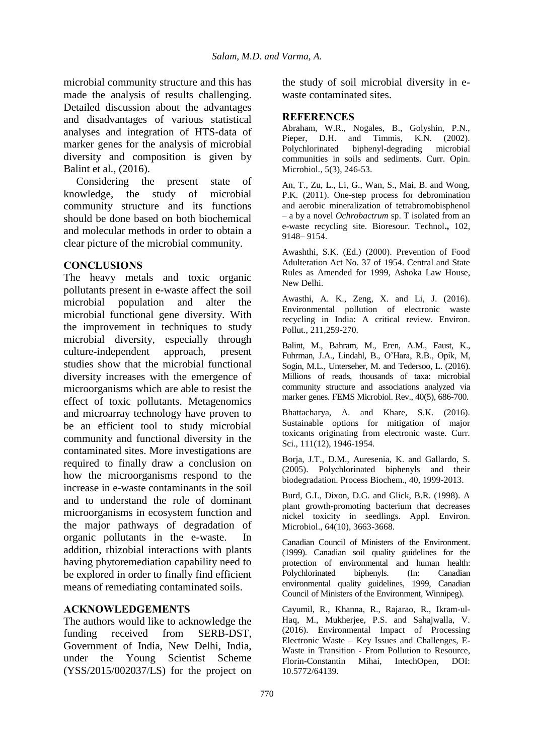microbial community structure and this has made the analysis of results challenging. Detailed discussion about the advantages and disadvantages of various statistical analyses and integration of HTS-data of marker genes for the analysis of microbial diversity and composition is given by Balint et al., (2016).

Considering the present state of knowledge, the study of microbial community structure and its functions should be done based on both biochemical and molecular methods in order to obtain a clear picture of the microbial community.

## **CONCLUSIONS**

The heavy metals and toxic organic pollutants present in e-waste affect the soil microbial population and alter the microbial functional gene diversity. With the improvement in techniques to study microbial diversity, especially through culture-independent approach, present studies show that the microbial functional diversity increases with the emergence of microorganisms which are able to resist the effect of toxic pollutants. Metagenomics and microarray technology have proven to be an efficient tool to study microbial community and functional diversity in the contaminated sites. More investigations are required to finally draw a conclusion on how the microorganisms respond to the increase in e-waste contaminants in the soil and to understand the role of dominant microorganisms in ecosystem function and the major pathways of degradation of organic pollutants in the e-waste. In addition, rhizobial interactions with plants having phytoremediation capability need to be explored in order to finally find efficient means of remediating contaminated soils.

## **ACKNOWLEDGEMENTS**

The authors would like to acknowledge the funding received from SERB-DST, Government of India, New Delhi, India, under the Young Scientist Scheme (YSS/2015/002037/LS) for the project on the study of soil microbial diversity in ewaste contaminated sites.

### **REFERENCES**

Abraham, W.R., Nogales, B., Golyshin, P.N., Pieper, D.H. and Timmis, K.N. (2002). Polychlorinated biphenyl-degrading microbial communities in soils and sediments. Curr. Opin. Microbiol*.*, 5(3), 246-53.

An, T., Zu, L., Li, G., Wan, S., Mai, B. and Wong, P.K. (2011). One-step process for debromination and aerobic mineralization of tetrabromobisphenol – a by a novel *Ochrobactrum* sp. T isolated from an e-waste recycling site. Bioresour. Technol**.,** 102, 9148– 9154.

Awashthi, S.K. (Ed.) (2000). Prevention of Food Adulteration Act No. 37 of 1954. Central and State Rules as Amended for 1999, Ashoka Law House, New Delhi.

Awasthi, A. K., Zeng, X. and Li, J. (2016). Environmental pollution of electronic waste recycling in India: A critical review. Environ. Pollut., 211,259-270.

Balint, M., Bahram, M., Eren, A.M., Faust, K., Fuhrman, J.A., Lindahl, B., O'Hara, R.B., Opik, M, Sogin, M.L., Unterseher, M. and Tedersoo, L. (2016). Millions of reads, thousands of taxa: microbial community structure and associations analyzed via marker genes. FEMS Microbiol. Rev., 40(5), 686-700.

Bhattacharya, A. and Khare, S.K. (2016). Sustainable options for mitigation of major toxicants originating from electronic waste. Curr. Sci., 111(12), 1946-1954.

Borja, J.T., D.M., Auresenia, K. and Gallardo, S. (2005). Polychlorinated biphenyls and their biodegradation. Process Biochem., 40, 1999-2013.

Burd, G.I., Dixon, D.G. and Glick, B.R. (1998). A plant growth-promoting bacterium that decreases nickel toxicity in seedlings. Appl. Environ. Microbiol., 64(10), 3663-3668.

Canadian Council of Ministers of the Environment. (1999). Canadian soil quality guidelines for the protection of environmental and human health: Polychlorinated biphenyls. (In: Canadian environmental quality guidelines, 1999, Canadian Council of Ministers of the Environment, Winnipeg).

Cayumil, R., Khanna, R., Rajarao, R., Ikram-ul-Haq, M., Mukherjee, P.S. and Sahajwalla, V. (2016). Environmental Impact of Processing Electronic Waste – Key Issues and Challenges, E-Waste in Transition - From Pollution to Resource, Florin-Constantin Mihai, IntechOpen, DOI: 10.5772/64139.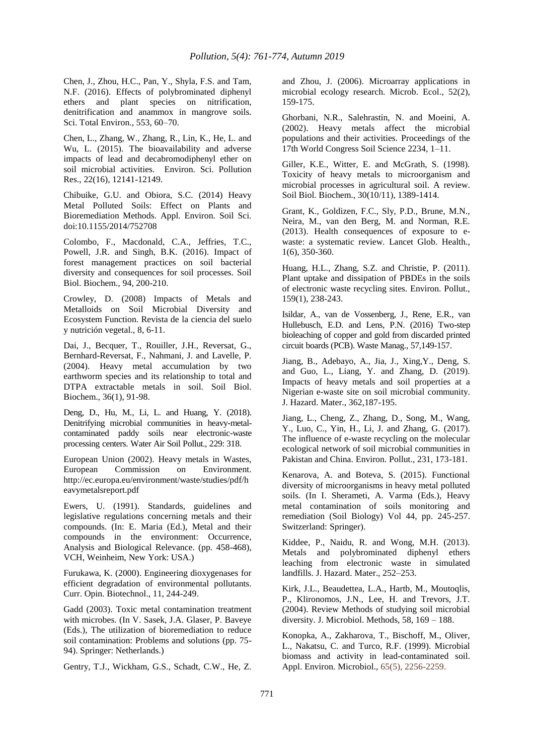Chen, J., Zhou, H.C., Pan, Y., Shyla, F.S. and Tam, N.F. (2016). Effects of polybrominated diphenyl ethers and plant species on nitrification, denitrification and anammox in mangrove soils. Sci. Total Environ., 553, 60–70.

Chen, L., Zhang, W., Zhang, R., Lin, K., He, L. and Wu, L. (2015). The bioavailability and adverse impacts of lead and decabromodiphenyl ether on soil microbial activities. Environ. Sci. Pollution Res., 22(16), 12141-12149.

Chibuike, G.U. and Obiora, S.C. (2014) Heavy Metal Polluted Soils: Effect on Plants and Bioremediation Methods. Appl. Environ. Soil Sci. doi:10.1155/2014/752708

Colombo, F., Macdonald, C.A., Jeffries, T.C., Powell, J.R. and Singh, B.K. (2016). Impact of forest management practices on soil bacterial diversity and consequences for soil processes. Soil Biol. Biochem., 94, 200-210.

Crowley, D. (2008) Impacts of Metals and Metalloids on Soil Microbial Diversity and Ecosystem Function. Revista de la ciencia del suelo y nutrición vegetal., 8, 6-11.

Dai, J., Becquer, T., Rouiller, J.H., Reversat, G., Bernhard-Reversat, F., Nahmani, J. and Lavelle, P. (2004). Heavy metal accumulation by two earthworm species and its relationship to total and DTPA extractable metals in soil. Soil Biol. Biochem., 36(1), 91-98.

Deng, D., Hu, M., Li, L. and Huang, Y. (2018). Denitrifying microbial communities in heavy-metalcontaminated paddy soils near electronic-waste processing centers. Water Air Soil Pollut., 229: 318.

European Union (2002). Heavy metals in Wastes, European Commission on Environment. http://ec.europa.eu/environment/waste/studies/pdf/h eavymetalsreport.pdf

Ewers, U. (1991). Standards, guidelines and legislative regulations concerning metals and their compounds. (In: E. Maria (Ed.), Metal and their compounds in the environment: Occurrence, Analysis and Biological Relevance. (pp. 458-468), VCH, Weinheim, New York: USA.)

Furukawa, K. (2000). Engineering dioxygenases for efficient degradation of environmental pollutants. Curr. Opin. Biotechnol., 11, 244-249.

Gadd (2003). Toxic metal contamination treatment with microbes. (In V. Sasek, J.A. Glaser, P. Baveye (Eds.), The utilization of bioremediation to reduce soil contamination: Problems and solutions (pp. 75- 94). Springer: Netherlands.)

Gentry, T.J., Wickham, G.S., Schadt, C.W., He, Z.

and Zhou, J. (2006). Microarray applications in microbial ecology research. Microb. Ecol., 52(2), 159-175.

Ghorbani, N.R., Salehrastin, N. and Moeini, A. (2002). Heavy metals affect the microbial populations and their activities. Proceedings of the 17th World Congress Soil Science 2234, 1–11.

Giller, K.E., Witter, E. and McGrath, S. (1998). Toxicity of heavy metals to microorganism and microbial processes in agricultural soil. A review. Soil Biol. Biochem., 30(10/11), 1389-1414.

Grant, K., Goldizen, F.C., Sly, P.D., Brune, M.N., Neira, M., van den Berg, M. and Norman, R.E. (2013). Health consequences of exposure to ewaste: a systematic review. Lancet Glob. Health., 1(6), 350-360.

Huang, H.L., Zhang, S.Z. and Christie, P. (2011). Plant uptake and dissipation of PBDEs in the soils of electronic waste recycling sites. Environ. Pollut., 159(1), 238-243.

Isildar, A., van de Vossenberg, J., Rene, E.R., van Hullebusch, E.D. and Lens, P.N. (2016) Two-step bioleaching of copper and gold from discarded printed circuit boards (PCB). Waste Manag., 57,149-157.

Jiang, B., Adebayo, A., Jia, J., Xing,Y., Deng, S. and Guo, L., Liang, Y. and Zhang, D. (2019). Impacts of heavy metals and soil properties at a Nigerian e-waste site on soil microbial community. J. Hazard. Mater., 362,187-195.

Jiang, L., Cheng, Z., Zhang, D., Song, M., Wang, Y., Luo, C., Yin, H., Li, J. and Zhang, G. (2017). The influence of e-waste recycling on the molecular ecological network of soil microbial communities in Pakistan and China. Environ. Pollut., 231, 173-181.

Kenarova, A. and Boteva, S. (2015). Functional diversity of microorganisms in heavy metal polluted soils. (In I. Sherameti, A. Varma (Eds.), Heavy metal contamination of soils monitoring and remediation (Soil Biology) Vol 44, pp. 245-257. Switzerland: Springer).

Kiddee, P., Naidu, R. and Wong, M.H. (2013). Metals and polybrominated diphenyl ethers leaching from electronic waste in simulated landfills. J. Hazard. Mater., 252–253.

Kirk, J.L., Beaudettea, L.A., Hartb, M., Moutoqlis, P., Klironomos, J.N., Lee, H. and Trevors, J.T. (2004). Review Methods of studying soil microbial diversity. J. Microbiol. Methods, 58, 169 – 188.

Konopka, A., Zakharova, T., Bischoff, M., Oliver, L., Nakatsu, C. and Turco, R.F. (1999). Microbial biomass and activity in lead-contaminated soil. Appl. Environ. Microbiol., 65(5), 2256-2259.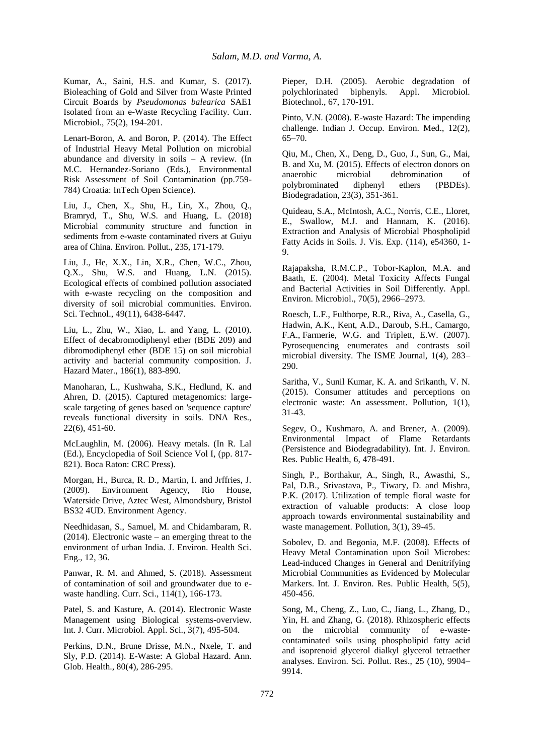Kumar, A., Saini, H.S. and Kumar, S. (2017). Bioleaching of Gold and Silver from Waste Printed Circuit Boards by *Pseudomonas balearica* SAE1 Isolated from an e-Waste Recycling Facility. Curr. Microbiol., 75(2), 194-201.

Lenart-Boron, A. and Boron, P. (2014). The Effect of Industrial Heavy Metal Pollution on microbial abundance and diversity in soils – A review. (In M.C. Hernandez-Soriano (Eds.), Environmental Risk Assessment of Soil Contamination (pp.759- 784) Croatia: InTech Open Science).

Liu, J., Chen, X., Shu, H., Lin, X., Zhou, Q., Bramryd, T., Shu, W.S. and Huang, L. (2018) Microbial community structure and function in sediments from e-waste contaminated rivers at Guiyu area of China. Environ. Pollut., 235, 171-179.

Liu, J., He, X.X., Lin, X.R., Chen, W.C., Zhou, Q.X., Shu, W.S. and Huang, L.N. (2015). Ecological effects of combined pollution associated with e-waste recycling on the composition and diversity of soil microbial communities. Environ. Sci. Technol., 49(11), 6438-6447.

Liu, L., Zhu, W., Xiao, L. and Yang, L. (2010). Effect of decabromodiphenyl ether (BDE 209) and dibromodiphenyl ether (BDE 15) on soil microbial activity and bacterial community composition. J. Hazard Mater., 186(1), 883-890.

Manoharan, L., Kushwaha, S.K., Hedlund, K. and Ahren, D. (2015). Captured metagenomics: largescale targeting of genes based on 'sequence capture' reveals functional diversity in soils. DNA Res., 22(6), 451-60.

McLaughlin, M. (2006). Heavy metals. (In R. Lal (Ed.), Encyclopedia of Soil Science Vol I, (pp. 817- 821). Boca Raton: CRC Press).

Morgan, H., Burca, R. D., Martin, I. and Jrffries, J. (2009). Environment Agency, Rio House, Waterside Drive, Aztec West, Almondsbury, Bristol BS32 4UD. Environment Agency.

Needhidasan, S., Samuel, M. and Chidambaram, R. (2014). Electronic waste – an emerging threat to the environment of urban India. J. Environ. Health Sci. Eng., 12, 36.

Panwar, R. M. and Ahmed, S. (2018). Assessment of contamination of soil and groundwater due to ewaste handling. Curr. Sci., 114(1), 166-173.

Patel, S. and Kasture, A. (2014). Electronic Waste Management using Biological systems-overview. Int. J. Curr. Microbiol. Appl. Sci., 3(7), 495-504.

Perkins, D.N., Brune Drisse, M.N., Nxele, T. and Sly, P.D. (2014). E-Waste: A Global Hazard. Ann. Glob. Health., 80(4), 286-295.

Pieper, D.H. (2005). Aerobic degradation of polychlorinated biphenyls. Appl. Microbiol. Biotechnol., 67, 170-191.

Pinto, V.N. (2008). E-waste Hazard: The impending challenge. Indian J. Occup. Environ. Med., 12(2), 65–70.

Qiu, M., Chen, X., Deng, D., Guo, J., Sun, G., Mai, B. and Xu, M. (2015). Effects of electron donors on anaerobic microbial debromination of polybrominated diphenyl ethers (PBDEs). Biodegradation, 23(3), 351-361.

Quideau, S.A., McIntosh, A.C., Norris, C.E., Lloret, E., Swallow, M.J. and Hannam, K. (2016). Extraction and Analysis of Microbial Phospholipid Fatty Acids in Soils. J. Vis. Exp. (114), e54360, 1- 9.

Rajapaksha, R.M.C.P., Tobor-Kaplon, M.A. and Baath, E. (2004). Metal Toxicity Affects Fungal and Bacterial Activities in Soil Differently. Appl. Environ. Microbiol., 70(5), 2966–2973.

Roesch, L.F., Fulthorpe, R.R., Riva, A., Casella, G., Hadwin, A.K., Kent, A.D., Daroub, S.H., Camargo, F.A., Farmerie, W.G. and Triplett, E.W. (2007). Pyrosequencing enumerates and contrasts soil microbial diversity. The ISME Journal, 1(4), 283– 290.

Saritha, V., Sunil Kumar, K. A. and Srikanth, V. N. (2015). Consumer attitudes and perceptions on electronic waste: An assessment. Pollution, 1(1), 31-43.

Segev, O., Kushmaro, A. and Brener, A. (2009). Environmental Impact of Flame Retardants (Persistence and Biodegradability). Int. J. Environ. Res. Public Health, 6, 478-491.

Singh, P., Borthakur, A., Singh, R., Awasthi, S., Pal, D.B., Srivastava, P., Tiwary, D. and Mishra, P.K. (2017). Utilization of temple floral waste for extraction of valuable products: A close loop approach towards environmental sustainability and waste management. Pollution, 3(1), 39-45.

Sobolev, D. and Begonia, M.F. (2008). Effects of Heavy Metal Contamination upon Soil Microbes: Lead-induced Changes in General and Denitrifying Microbial Communities as Evidenced by Molecular Markers. Int. J. Environ. Res. Public Health, 5(5), 450-456.

Song, M., Cheng, Z., Luo, C., Jiang, L., Zhang, D., Yin, H. and Zhang, G. (2018). Rhizospheric effects on the microbial community of e-wastecontaminated soils using phospholipid fatty acid and isoprenoid glycerol dialkyl glycerol tetraether analyses. Environ. Sci. Pollut. Res., 25 (10), 9904– 9914.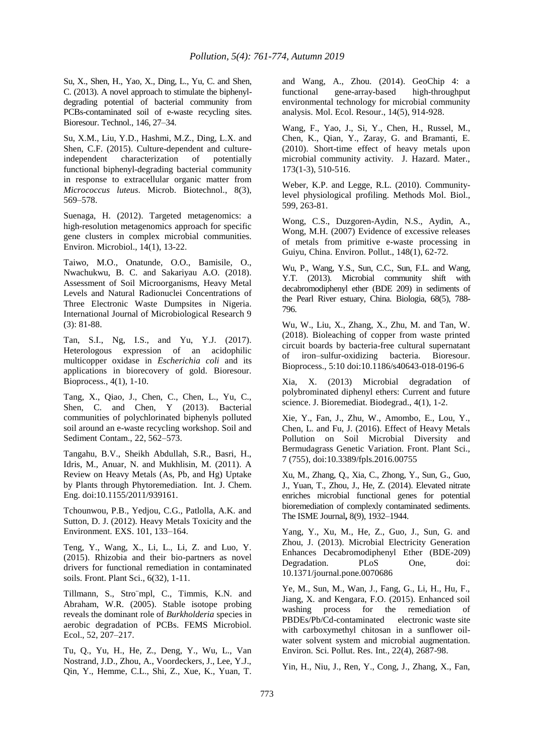Su, X., Shen, H., Yao, X., Ding, L., Yu, C. and Shen, C. (2013). A novel approach to stimulate the biphenyldegrading potential of bacterial community from PCBs-contaminated soil of e-waste recycling sites. Bioresour. Technol., 146, 27–34.

Su, X.M., Liu, Y.D., Hashmi, M.Z., Ding, L.X. and Shen, C.F. (2015). Culture-dependent and culture-<br>independent characterization of potentially independent characterization of functional biphenyl-degrading bacterial community in response to extracellular organic matter from *Micrococcus luteus*. Microb. Biotechnol., 8(3), 569–578.

Suenaga, H. (2012). Targeted metagenomics: a high-resolution metagenomics approach for specific gene clusters in complex microbial communities. Environ. Microbiol., 14(1), 13-22.

Taiwo, M.O., Onatunde, O.O., Bamisile, O., Nwachukwu, B. C. and Sakariyau A.O. (2018). Assessment of Soil Microorganisms, Heavy Metal Levels and Natural Radionuclei Concentrations of Three Electronic Waste Dumpsites in Nigeria. International Journal of Microbiological Research 9 (3): 81-88.

Tan, S.I., Ng, I.S., and Yu, Y.J. (2017). Heterologous expression of an acidophilic multicopper oxidase in *Escherichia coli* and its applications in biorecovery of gold. Bioresour. Bioprocess., 4(1), 1-10.

Tang, X., Qiao, J., Chen, C., Chen, L., Yu, C., Shen, C. and Chen, Y (2013). Bacterial communities of polychlorinated biphenyls polluted soil around an e-waste recycling workshop. Soil and Sediment Contam., 22, 562–573.

Tangahu, B.V., Sheikh Abdullah, S.R., Basri, H., Idris, M., Anuar, N. and Mukhlisin, M. (2011). A Review on Heavy Metals (As, Pb, and Hg) Uptake by Plants through Phytoremediation. Int. J. Chem. Eng. doi:10.1155/2011/939161.

Tchounwou, P.B., Yedjou, C.G., Patlolla, A.K. and Sutton, D. J. (2012). Heavy Metals Toxicity and the Environment. EXS. 101, 133–164.

Teng, Y., Wang, X., Li, L., Li, Z. and Luo, Y. (2015). Rhizobia and their bio-partners as novel drivers for functional remediation in contaminated soils. Front. Plant Sci., 6(32), 1-11.

Tillmann, S., Stro¨mpl, C., Timmis, K.N. and Abraham, W.R. (2005). Stable isotope probing reveals the dominant role of *Burkholderia* species in aerobic degradation of PCBs. FEMS Microbiol. Ecol., 52, 207–217.

Tu, Q., Yu, H., He, Z., Deng, Y., Wu, L., Van Nostrand, J.D., Zhou, A., Voordeckers, J., Lee, Y.J., Qin, Y., Hemme, C.L., Shi, Z., Xue, K., Yuan, T.

and Wang, A., Zhou. (2014). GeoChip 4: a functional gene-array-based high-throughput environmental technology for microbial community analysis. Mol. Ecol. Resour., 14(5), 914-928.

Wang, F., Yao, J., Si, Y., Chen, H., Russel, M., Chen, K., Qian, Y., Zaray, G. and Bramanti, E. (2010). Short-time effect of heavy metals upon microbial community activity. J. Hazard. Mater., 173(1-3), 510-516.

Weber, K.P. and Legge, R.L. (2010). Communitylevel physiological profiling. Methods Mol. Biol., 599, 263-81.

Wong, C.S., Duzgoren-Aydin, N.S., Aydin, A., Wong, M.H. (2007) Evidence of excessive releases of metals from primitive e-waste processing in Guiyu, China. Environ. Pollut., 148(1), 62-72.

Wu, P., Wang, Y.S., Sun, C.C., Sun, F.L. and Wang, Y.T. (2013). Microbial community shift with decabromodiphenyl ether (BDE 209) in sediments of the Pearl River estuary, China. Biologia, 68(5), 788- 796.

Wu, W., Liu, X., Zhang, X., Zhu, M. and Tan, W. (2018). Bioleaching of copper from waste printed circuit boards by bacteria-free cultural supernatant of iron–sulfur-oxidizing bacteria. Bioresour. Bioprocess., 5:10 doi:10.1186/s40643-018-0196-6

Xia, X. (2013) Microbial degradation of polybrominated diphenyl ethers: Current and future science. J. Bioremediat. Biodegrad., 4(1), 1-2.

Xie, Y., Fan, J., Zhu, W., Amombo, E., Lou, Y., Chen, L. and Fu, J. (2016). Effect of Heavy Metals Pollution on Soil Microbial Diversity and Bermudagrass Genetic Variation. Front. Plant Sci., 7 (755), doi:10.3389/fpls.2016.00755

Xu, M., Zhang, Q., Xia, C., Zhong, Y., Sun, G., Guo, J., Yuan, T., Zhou, J., He, Z. (2014). Elevated nitrate enriches microbial functional genes for potential bioremediation of complexly contaminated sediments. The ISME Journal**,** 8(9), 1932–1944.

Yang, Y., Xu, M., He, Z., Guo, J., Sun, G. and Zhou, J. (2013). Microbial Electricity Generation Enhances Decabromodiphenyl Ether (BDE-209) Degradation. PLoS One, doi: 10.1371/journal.pone.0070686

Ye, M., Sun, M., Wan, J., Fang, G., Li, H., Hu, F., Jiang, X. and Kengara, F.O. (2015). Enhanced soil washing process for the remediation of PBDEs/Pb/Cd-contaminated electronic waste site with carboxymethyl chitosan in a sunflower oilwater solvent system and microbial augmentation. Environ. Sci. Pollut. Res. Int., 22(4), 2687-98.

Yin, H., Niu, J., Ren, Y., Cong, J., Zhang, X., Fan,